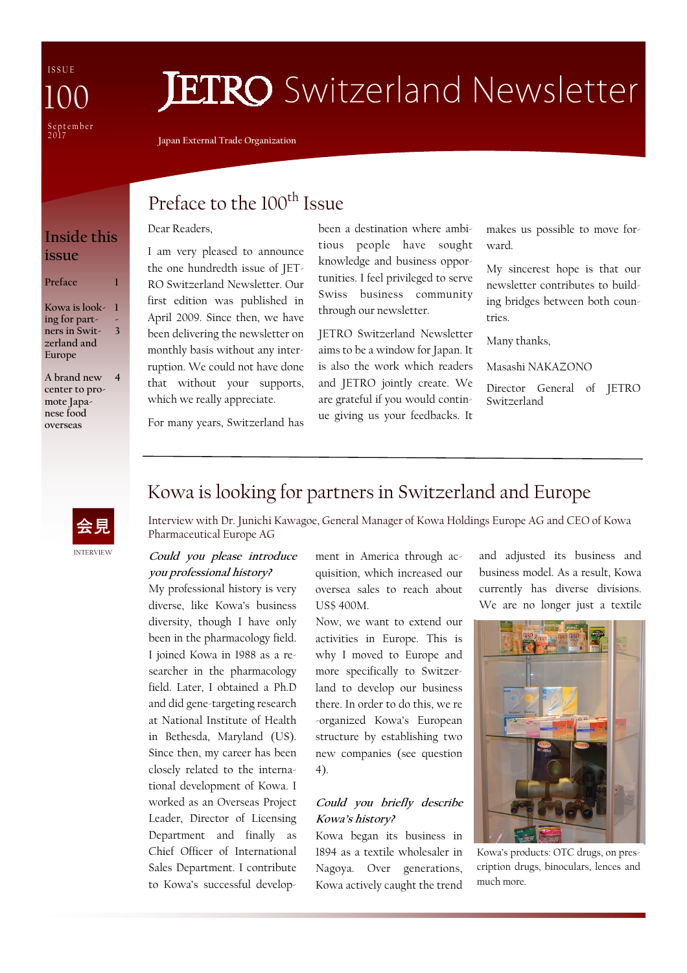I S S U E September<br>2017 100

## **JETRO** Switzerland Newsletter

**Japan External Trade Organization** 

I am very pleased to announce the one hundredth issue of JET-RO Switzerland Newsletter. Our first edition was published in April 2009. Since then, we have been delivering the newsletter on monthly basis without any interruption. We could not have done that without your supports, which we really appreciate.

## Preface to the 100<sup>th</sup> Issue

#### Dear Readers,

#### **Inside this issue**

#### **Preface**

**Kowa is look-1 ing for partners in Switzerland and Europe - 3** 

**A brand new center to promote Japanese food overseas 4**  been a destination where ambitious people have sought knowledge and business opportunities. I feel privileged to serve Swiss business community through our newsletter.

JETRO Switzerland Newsletter aims to be a window for Japan. It is also the work which readers and JETRO jointly create. We are grateful if you would continue giving us your feedbacks. It

makes us possible to move forward.

My sincerest hope is that our newsletter contributes to building bridges between both countries.

Many thanks,

Masashi NAKAZONO

Director General of JETRO Switzerland

For many years, Switzerland has



## Kowa is looking for partners in Switzerland and Europe

Interview with Dr. Junichi Kawagoe, General Manager of Kowa Holdings Europe AG and CEO of Kowa Pharmaceutical Europe AG

#### **Could you please introduce you professional history?**

My professional history is very diverse, like Kowa's business diversity, though I have only been in the pharmacology field. I joined Kowa in 1988 as a researcher in the pharmacology field. Later, I obtained a Ph.D and did gene-targeting research at National Institute of Health in Bethesda, Maryland (US). Since then, my career has been closely related to the international development of Kowa. I worked as an Overseas Project Leader, Director of Licensing Department and finally as Chief Officer of International Sales Department. I contribute to Kowa's successful development in America through acquisition, which increased our oversea sales to reach about US\$ 400M.

Now, we want to extend our activities in Europe. This is why I moved to Europe and more specifically to Switzerland to develop our business there. In order to do this, we re -organized Kowa's European structure by establishing two new companies (see question 4).

#### **Could you briefly describe Kowa's history?**

Kowa began its business in 1894 as a textile wholesaler in Nagoya. Over generations, Kowa actively caught the trend

and adjusted its business and business model. As a result, Kowa currently has diverse divisions. We are no longer just a textile



Kowa's products: OTC drugs, on prescription drugs, binoculars, lences and much more.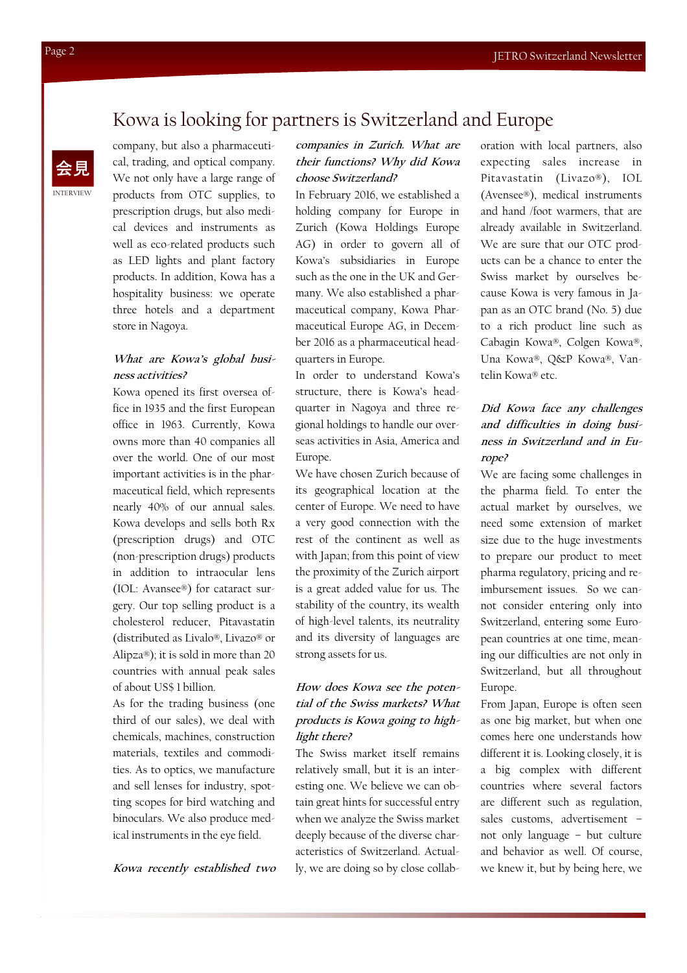## Kowa is looking for partners is Switzerland and Europe

company, but also a pharmaceutical, trading, and optical company. We not only have a large range of products from OTC supplies, to prescription drugs, but also medical devices and instruments as well as eco-related products such as LED lights and plant factory products. In addition, Kowa has a hospitality business: we operate three hotels and a department store in Nagoya.

#### **What are Kowa's global business activities?**

Kowa opened its first oversea office in 1935 and the first European office in 1963. Currently, Kowa owns more than 40 companies all over the world. One of our most important activities is in the pharmaceutical field, which represents nearly 40% of our annual sales. Kowa develops and sells both Rx (prescription drugs) and OTC (non-prescription drugs) products in addition to intraocular lens (IOL: Avansee®) for cataract surgery. Our top selling product is a cholesterol reducer, Pitavastatin (distributed as Livalo®, Livazo® or Alipza®); it is sold in more than 20 countries with annual peak sales of about US\$ 1 billion.

As for the trading business (one third of our sales), we deal with chemicals, machines, construction materials, textiles and commodities. As to optics, we manufacture and sell lenses for industry, spotting scopes for bird watching and binoculars. We also produce medical instruments in the eye field.

**Kowa recently established two** 

#### **companies in Zurich. What are their functions? Why did Kowa choose Switzerland?**

In February 2016, we established a holding company for Europe in Zurich (Kowa Holdings Europe AG) in order to govern all of Kowa's subsidiaries in Europe such as the one in the UK and Germany. We also established a pharmaceutical company, Kowa Pharmaceutical Europe AG, in December 2016 as a pharmaceutical headquarters in Europe.

In order to understand Kowa's structure, there is Kowa's headquarter in Nagoya and three regional holdings to handle our overseas activities in Asia, America and Europe.

We have chosen Zurich because of its geographical location at the center of Europe. We need to have a very good connection with the rest of the continent as well as with Japan; from this point of view the proximity of the Zurich airport is a great added value for us. The stability of the country, its wealth of high-level talents, its neutrality and its diversity of languages are strong assets for us.

#### **How does Kowa see the potential of the Swiss markets? What products is Kowa going to highlight there?**

The Swiss market itself remains relatively small, but it is an interesting one. We believe we can obtain great hints for successful entry when we analyze the Swiss market deeply because of the diverse characteristics of Switzerland. Actually, we are doing so by close collaboration with local partners, also expecting sales increase in Pitavastatin (Livazo®), IOL (Avensee®), medical instruments and hand /foot warmers, that are already available in Switzerland. We are sure that our OTC products can be a chance to enter the Swiss market by ourselves because Kowa is very famous in Japan as an OTC brand (No. 5) due to a rich product line such as Cabagin Kowa®, Colgen Kowa®, Una Kowa®, Q&P Kowa®, Vantelin Kowa® etc.

#### **Did Kowa face any challenges and difficulties in doing business in Switzerland and in Europe?**

We are facing some challenges in the pharma field. To enter the actual market by ourselves, we need some extension of market size due to the huge investments to prepare our product to meet pharma regulatory, pricing and reimbursement issues. So we cannot consider entering only into Switzerland, entering some European countries at one time, meaning our difficulties are not only in Switzerland, but all throughout Europe.

From Japan, Europe is often seen as one big market, but when one comes here one understands how different it is. Looking closely, it is a big complex with different countries where several factors are different such as regulation, sales customs, advertisement – not only language – but culture and behavior as well. Of course, we knew it, but by being here, we

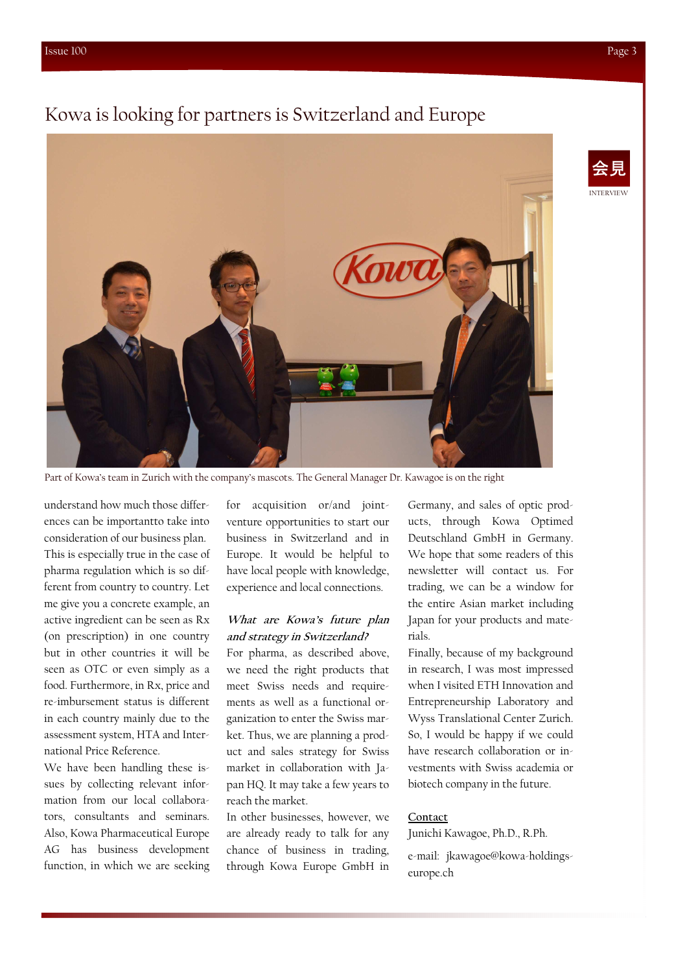### Kowa is looking for partners is Switzerland and Europe



Part of Kowa's team in Zurich with the company's mascots. The General Manager Dr. Kawagoe is on the right

understand how much those differences can be importantto take into consideration of our business plan. This is especially true in the case of pharma regulation which is so different from country to country. Let me give you a concrete example, an active ingredient can be seen as Rx (on prescription) in one country but in other countries it will be seen as OTC or even simply as a food. Furthermore, in Rx, price and re-imbursement status is different in each country mainly due to the assessment system, HTA and International Price Reference.

We have been handling these issues by collecting relevant information from our local collaborators, consultants and seminars. Also, Kowa Pharmaceutical Europe AG has business development function, in which we are seeking for acquisition or/and jointventure opportunities to start our business in Switzerland and in Europe. It would be helpful to have local people with knowledge, experience and local connections.

#### **What are Kowa's future plan and strategy in Switzerland?**

For pharma, as described above, we need the right products that meet Swiss needs and requirements as well as a functional organization to enter the Swiss market. Thus, we are planning a product and sales strategy for Swiss market in collaboration with Japan HQ. It may take a few years to reach the market.

In other businesses, however, we are already ready to talk for any chance of business in trading, through Kowa Europe GmbH in

Germany, and sales of optic products, through Kowa Optimed Deutschland GmbH in Germany. We hope that some readers of this newsletter will contact us. For trading, we can be a window for the entire Asian market including Japan for your products and materials.

Finally, because of my background in research, I was most impressed when I visited ETH Innovation and Entrepreneurship Laboratory and Wyss Translational Center Zurich. So, I would be happy if we could have research collaboration or investments with Swiss academia or biotech company in the future.

#### **Contact**

Junichi Kawagoe, Ph.D., R.Ph.

e-mail: jkawagoe@kowa-holdingseurope.ch

INTERVIEW 会見